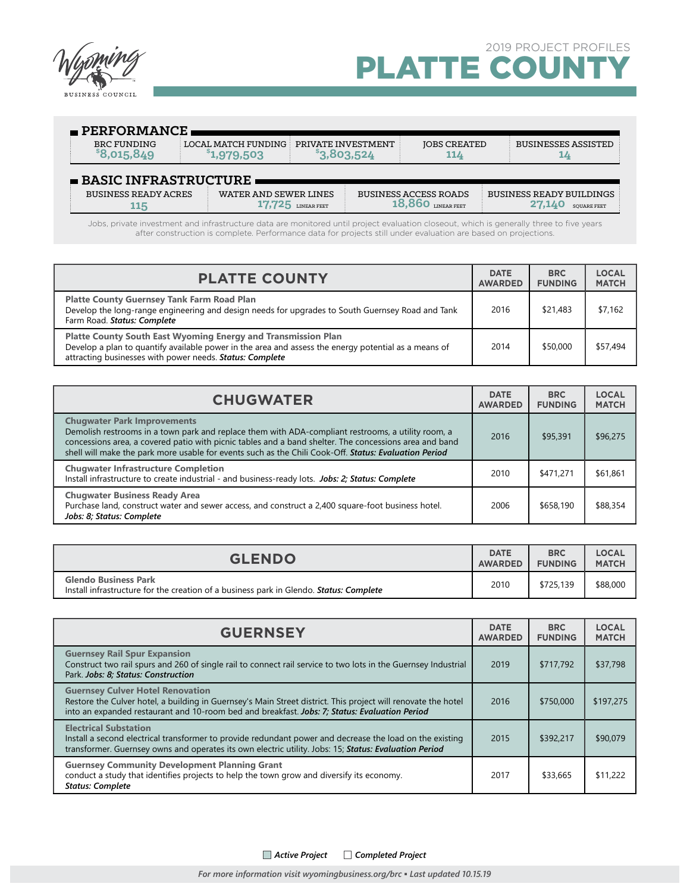

| $\blacksquare$ PERFORMANCE          |                                                             |             |                                             |                                                |
|-------------------------------------|-------------------------------------------------------------|-------------|---------------------------------------------|------------------------------------------------|
| BRC FUNDING<br>\$8.015.849          | LOCAL MATCH FUNDING PRIVATE INVESTMENT<br><b>°1,979,503</b> | \$3,803,524 | <b>IOBS CREATED</b><br>114                  | <b>BUSINESSES ASSISTED</b><br>┸                |
| $\blacksquare$ BASIC INFRASTRUCTURE |                                                             |             |                                             |                                                |
| <b>BUSINESS READY ACRES</b>         | WATER AND SEWER LINES                                       | LINEAR FEET | <b>BUSINESS ACCESS ROADS</b><br>LINEAR FEET | BUSINESS READY BUILDINGS<br><b>SOUARE FEET</b> |

Jobs, private investment and infrastructure data are monitored until project evaluation closeout, which is generally three to five years after construction is complete. Performance data for projects still under evaluation are based on projections.

| <b>PLATTE COUNTY</b>                                                                                                                                                                                                                     | <b>DATE</b><br><b>AWARDED</b> | <b>BRC</b><br><b>FUNDING</b> | <b>LOCAL</b><br><b>MATCH</b> |
|------------------------------------------------------------------------------------------------------------------------------------------------------------------------------------------------------------------------------------------|-------------------------------|------------------------------|------------------------------|
| <b>Platte County Guernsey Tank Farm Road Plan</b><br>Develop the long-range engineering and design needs for upgrades to South Guernsey Road and Tank<br>Farm Road. Status: Complete                                                     | 2016                          | \$21,483                     | \$7,162                      |
| <b>Platte County South East Wyoming Energy and Transmission Plan</b><br>Develop a plan to quantify available power in the area and assess the energy potential as a means of<br>attracting businesses with power needs. Status: Complete | 2014                          | \$50,000                     | \$57,494                     |

| <b>CHUGWATER</b>                                                                                                                                                                                                                                                                                                                                            |      | <b>BRC</b><br><b>FUNDING</b> | <b>LOCAL</b><br><b>MATCH</b> |
|-------------------------------------------------------------------------------------------------------------------------------------------------------------------------------------------------------------------------------------------------------------------------------------------------------------------------------------------------------------|------|------------------------------|------------------------------|
| <b>Chugwater Park Improvements</b><br>Demolish restrooms in a town park and replace them with ADA-compliant restrooms, a utility room, a<br>concessions area, a covered patio with picnic tables and a band shelter. The concessions area and band<br>shell will make the park more usable for events such as the Chili Cook-Off. Status: Evaluation Period | 2016 | \$95,391                     | \$96,275                     |
| <b>Chugwater Infrastructure Completion</b><br>Install infrastructure to create industrial - and business-ready lots. Jobs: 2; Status: Complete                                                                                                                                                                                                              | 2010 | \$471,271                    | \$61,861                     |
| <b>Chugwater Business Ready Area</b><br>Purchase land, construct water and sewer access, and construct a 2,400 square-foot business hotel.<br>Jobs: 8; Status: Complete                                                                                                                                                                                     | 2006 | \$658,190                    | \$88,354                     |

| <b>GLENDO</b>                                                                                                                | <b>DATE</b>    | <b>BRC</b>     | <b>LOCAL</b> |
|------------------------------------------------------------------------------------------------------------------------------|----------------|----------------|--------------|
|                                                                                                                              | <b>AWARDED</b> | <b>FUNDING</b> | <b>MATCH</b> |
| <b>Glendo Business Park</b><br>Install infrastructure for the creation of a business park in Glendo. <b>Status: Complete</b> | 2010           | \$725,139      | \$88,000     |

| <b>GUERNSEY</b>                                                                                                                                                                                                                                           |      | <b>BRC</b><br><b>FUNDING</b> | <b>LOCAL</b><br><b>MATCH</b> |
|-----------------------------------------------------------------------------------------------------------------------------------------------------------------------------------------------------------------------------------------------------------|------|------------------------------|------------------------------|
| <b>Guernsey Rail Spur Expansion</b><br>Construct two rail spurs and 260 of single rail to connect rail service to two lots in the Guernsey Industrial<br>Park. Jobs: 8; Status: Construction                                                              | 2019 | \$717.792                    | \$37,798                     |
| <b>Guernsey Culver Hotel Renovation</b><br>Restore the Culver hotel, a building in Guernsey's Main Street district. This project will renovate the hotel<br>into an expanded restaurant and 10-room bed and breakfast. Jobs: 7; Status: Evaluation Period | 2016 | \$750,000                    | \$197,275                    |
| <b>Electrical Substation</b><br>Install a second electrical transformer to provide redundant power and decrease the load on the existing<br>transformer. Guernsey owns and operates its own electric utility. Jobs: 15; Status: Evaluation Period         | 2015 | \$392,217                    | \$90,079                     |
| <b>Guernsey Community Development Planning Grant</b><br>conduct a study that identifies projects to help the town grow and diversify its economy.<br><b>Status: Complete</b>                                                                              | 2017 | \$33,665                     | \$11,222                     |